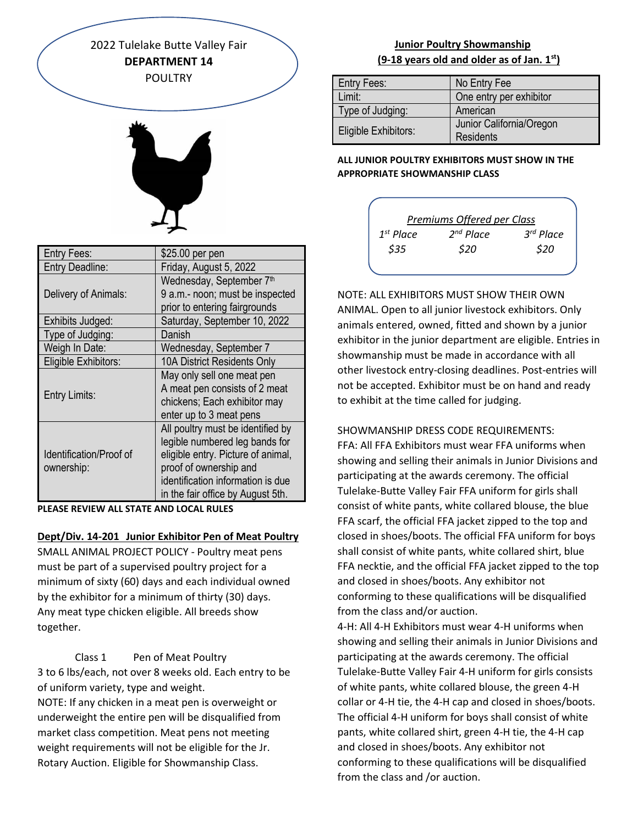2022 Tulelake Butte Valley Fair **DEPARTMENT 14** POULTRY



| Entry Fees:                           | \$25.00 per pen                    |
|---------------------------------------|------------------------------------|
| <b>Entry Deadline:</b>                | Friday, August 5, 2022             |
|                                       | Wednesday, September 7th           |
| Delivery of Animals:                  | 9 a.m.- noon; must be inspected    |
|                                       | prior to entering fairgrounds      |
| Exhibits Judged:                      | Saturday, September 10, 2022       |
| Type of Judging:                      | Danish                             |
| Weigh In Date:                        | Wednesday, September 7             |
| Eligible Exhibitors:                  | 10A District Residents Only        |
| <b>Entry Limits:</b>                  | May only sell one meat pen         |
|                                       | A meat pen consists of 2 meat      |
|                                       | chickens; Each exhibitor may       |
|                                       | enter up to 3 meat pens            |
| Identification/Proof of<br>ownership: | All poultry must be identified by  |
|                                       | legible numbered leg bands for     |
|                                       | eligible entry. Picture of animal, |
|                                       | proof of ownership and             |
|                                       | identification information is due  |
|                                       | in the fair office by August 5th.  |

**PLEASE REVIEW ALL STATE AND LOCAL RULES**

#### **Dept/Div. 14-201 Junior Exhibitor Pen of Meat Poultry**

SMALL ANIMAL PROJECT POLICY - Poultry meat pens must be part of a supervised poultry project for a minimum of sixty (60) days and each individual owned by the exhibitor for a minimum of thirty (30) days. Any meat type chicken eligible. All breeds show together.

Class 1 Pen of Meat Poultry 3 to 6 lbs/each, not over 8 weeks old. Each entry to be of uniform variety, type and weight.

NOTE: If any chicken in a meat pen is overweight or underweight the entire pen will be disqualified from market class competition. Meat pens not meeting weight requirements will not be eligible for the Jr. Rotary Auction. Eligible for Showmanship Class.

# **Junior Poultry Showmanship (9-18 years old and older as of Jan. 1st)**

| Entry Fees:          | No Entry Fee                          |
|----------------------|---------------------------------------|
| Limit:               | One entry per exhibitor               |
| Type of Judging:     | American                              |
| Eligible Exhibitors: | Junior California/Oregon<br>Residents |

### **ALL JUNIOR POULTRY EXHIBITORS MUST SHOW IN THE APPROPRIATE SHOWMANSHIP CLASS**



NOTE: ALL EXHIBITORS MUST SHOW THEIR OWN ANIMAL. Open to all junior livestock exhibitors. Only animals entered, owned, fitted and shown by a junior exhibitor in the junior department are eligible. Entries in showmanship must be made in accordance with all other livestock entry-closing deadlines. Post-entries will not be accepted. Exhibitor must be on hand and ready to exhibit at the time called for judging.

### SHOWMANSHIP DRESS CODE REQUIREMENTS:

FFA: All FFA Exhibitors must wear FFA uniforms when showing and selling their animals in Junior Divisions and participating at the awards ceremony. The official Tulelake-Butte Valley Fair FFA uniform for girls shall consist of white pants, white collared blouse, the blue FFA scarf, the official FFA jacket zipped to the top and closed in shoes/boots. The official FFA uniform for boys shall consist of white pants, white collared shirt, blue FFA necktie, and the official FFA jacket zipped to the top and closed in shoes/boots. Any exhibitor not conforming to these qualifications will be disqualified from the class and/or auction.

4-H: All 4-H Exhibitors must wear 4-H uniforms when showing and selling their animals in Junior Divisions and participating at the awards ceremony. The official Tulelake-Butte Valley Fair 4-H uniform for girls consists of white pants, white collared blouse, the green 4-H collar or 4-H tie, the 4-H cap and closed in shoes/boots. The official 4-H uniform for boys shall consist of white pants, white collared shirt, green 4-H tie, the 4-H cap and closed in shoes/boots. Any exhibitor not conforming to these qualifications will be disqualified from the class and /or auction.